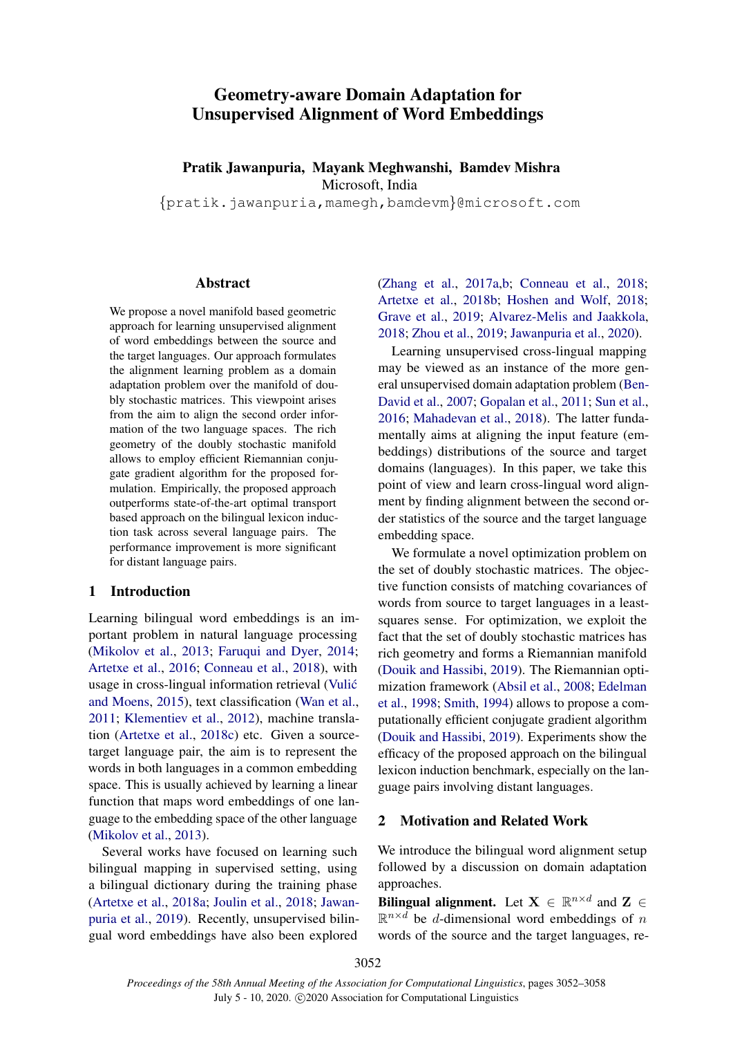# Geometry-aware Domain Adaptation for Unsupervised Alignment of Word Embeddings

# Pratik Jawanpuria, Mayank Meghwanshi, Bamdev Mishra Microsoft, India

{pratik.jawanpuria,mamegh,bamdevm}@microsoft.com

## Abstract

We propose a novel manifold based geometric approach for learning unsupervised alignment of word embeddings between the source and the target languages. Our approach formulates the alignment learning problem as a domain adaptation problem over the manifold of doubly stochastic matrices. This viewpoint arises from the aim to align the second order information of the two language spaces. The rich geometry of the doubly stochastic manifold allows to employ efficient Riemannian conjugate gradient algorithm for the proposed formulation. Empirically, the proposed approach outperforms state-of-the-art optimal transport based approach on the bilingual lexicon induction task across several language pairs. The performance improvement is more significant for distant language pairs.

# 1 Introduction

Learning bilingual word embeddings is an important problem in natural language processing [\(Mikolov et al.,](#page-5-0) [2013;](#page-5-0) [Faruqui and Dyer,](#page-4-0) [2014;](#page-4-0) [Artetxe et al.,](#page-4-1) [2016;](#page-4-1) [Conneau et al.,](#page-4-2) [2018\)](#page-4-2), with usage in cross-lingual information retrieval [\(Vulic´](#page-6-0) [and Moens,](#page-6-0) [2015\)](#page-6-0), text classification [\(Wan et al.,](#page-6-1) [2011;](#page-6-1) [Klementiev et al.,](#page-5-1) [2012\)](#page-5-1), machine translation [\(Artetxe et al.,](#page-4-3) [2018c\)](#page-4-3) etc. Given a sourcetarget language pair, the aim is to represent the words in both languages in a common embedding space. This is usually achieved by learning a linear function that maps word embeddings of one language to the embedding space of the other language [\(Mikolov et al.,](#page-5-0) [2013\)](#page-5-0).

Several works have focused on learning such bilingual mapping in supervised setting, using a bilingual dictionary during the training phase [\(Artetxe et al.,](#page-4-4) [2018a;](#page-4-4) [Joulin et al.,](#page-5-2) [2018;](#page-5-2) [Jawan](#page-5-3)[puria et al.,](#page-5-3) [2019\)](#page-5-3). Recently, unsupervised bilingual word embeddings have also been explored

[\(Zhang et al.,](#page-6-2) [2017a](#page-6-2)[,b;](#page-6-3) [Conneau et al.,](#page-4-2) [2018;](#page-4-2) [Artetxe et al.,](#page-4-5) [2018b;](#page-4-5) [Hoshen and Wolf,](#page-5-4) [2018;](#page-5-4) [Grave et al.,](#page-5-5) [2019;](#page-5-5) [Alvarez-Melis and Jaakkola,](#page-4-6) [2018;](#page-4-6) [Zhou et al.,](#page-6-4) [2019;](#page-6-4) [Jawanpuria et al.,](#page-5-6) [2020\)](#page-5-6).

Learning unsupervised cross-lingual mapping may be viewed as an instance of the more general unsupervised domain adaptation problem [\(Ben-](#page-4-7)[David et al.,](#page-4-7) [2007;](#page-4-7) [Gopalan et al.,](#page-5-7) [2011;](#page-5-7) [Sun et al.,](#page-5-8) [2016;](#page-5-8) [Mahadevan et al.,](#page-5-9) [2018\)](#page-5-9). The latter fundamentally aims at aligning the input feature (embeddings) distributions of the source and target domains (languages). In this paper, we take this point of view and learn cross-lingual word alignment by finding alignment between the second order statistics of the source and the target language embedding space.

We formulate a novel optimization problem on the set of doubly stochastic matrices. The objective function consists of matching covariances of words from source to target languages in a leastsquares sense. For optimization, we exploit the fact that the set of doubly stochastic matrices has rich geometry and forms a Riemannian manifold [\(Douik and Hassibi,](#page-4-8) [2019\)](#page-4-8). The Riemannian optimization framework [\(Absil et al.,](#page-4-9) [2008;](#page-4-9) [Edelman](#page-4-10) [et al.,](#page-4-10) [1998;](#page-4-10) [Smith,](#page-5-10) [1994\)](#page-5-10) allows to propose a computationally efficient conjugate gradient algorithm [\(Douik and Hassibi,](#page-4-8) [2019\)](#page-4-8). Experiments show the efficacy of the proposed approach on the bilingual lexicon induction benchmark, especially on the language pairs involving distant languages.

## 2 Motivation and Related Work

We introduce the bilingual word alignment setup followed by a discussion on domain adaptation approaches.

Bilingual alignment. Let  $X \in \mathbb{R}^{n \times d}$  and  $Z \in$  $\mathbb{R}^{n \times d}$  be d-dimensional word embeddings of n words of the source and the target languages, re-

3052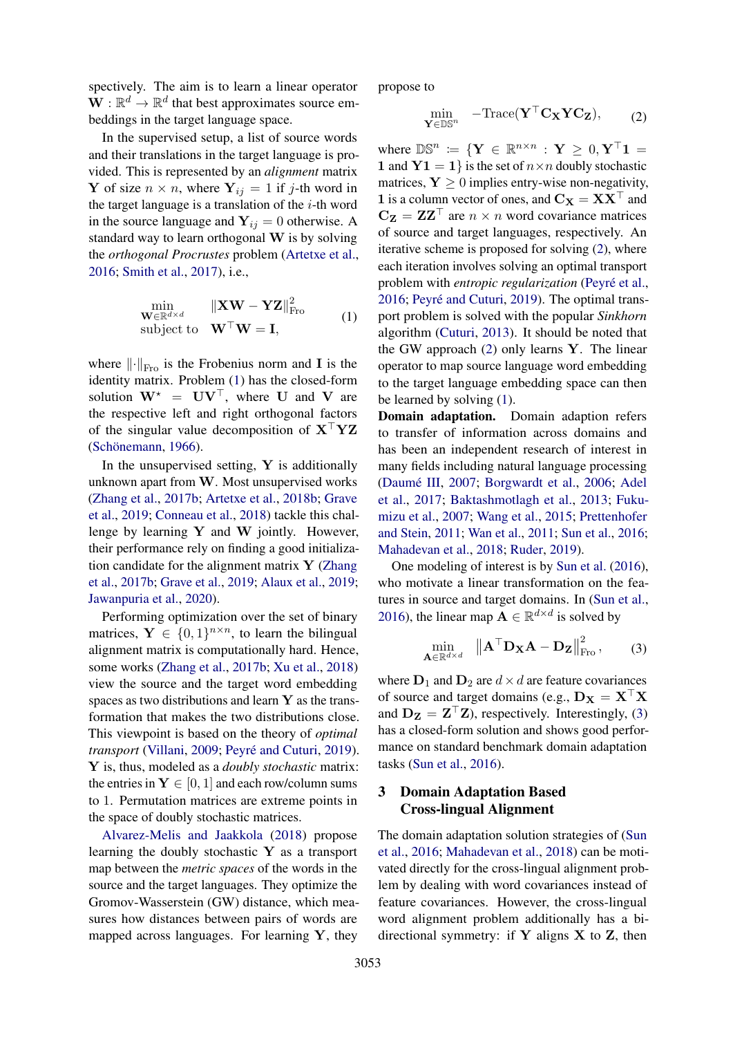spectively. The aim is to learn a linear operator  $\mathbf{W}: \mathbb{R}^d \to \mathbb{R}^d$  that best approximates source embeddings in the target language space.

In the supervised setup, a list of source words and their translations in the target language is provided. This is represented by an *alignment* matrix Y of size  $n \times n$ , where  $Y_{ij} = 1$  if j-th word in the target language is a translation of the  $i$ -th word in the source language and  $Y_{ij} = 0$  otherwise. A standard way to learn orthogonal W is by solving the *orthogonal Procrustes* problem [\(Artetxe et al.,](#page-4-1) [2016;](#page-4-1) [Smith et al.,](#page-5-11) [2017\)](#page-5-11), i.e.,

<span id="page-1-0"></span>
$$
\min_{\mathbf{W} \in \mathbb{R}^{d \times d}} \| \mathbf{X} \mathbf{W} - \mathbf{Y} \mathbf{Z} \|_{\text{Fro}}^2
$$
\nsubject to 
$$
\mathbf{W}^\top \mathbf{W} = \mathbf{I},
$$
\n(1)

where  $\lVert \cdot \rVert_{\text{Fro}}$  is the Frobenius norm and I is the identity matrix. Problem [\(1\)](#page-1-0) has the closed-form solution  $W^* = UV^\top$ , where U and V are the respective left and right orthogonal factors of the singular value decomposition of  $X^{\top}YZ$ (Schönemann, [1966\)](#page-5-12).

In the unsupervised setting,  $Y$  is additionally unknown apart from W. Most unsupervised works [\(Zhang et al.,](#page-6-3) [2017b;](#page-6-3) [Artetxe et al.,](#page-4-5) [2018b;](#page-4-5) [Grave](#page-5-5) [et al.,](#page-5-5) [2019;](#page-5-5) [Conneau et al.,](#page-4-2) [2018\)](#page-4-2) tackle this challenge by learning  $Y$  and  $W$  jointly. However, their performance rely on finding a good initialization candidate for the alignment matrix  $\bf{Y}$  [\(Zhang](#page-6-3) [et al.,](#page-6-3) [2017b;](#page-6-3) [Grave et al.,](#page-5-5) [2019;](#page-5-5) [Alaux et al.,](#page-4-11) [2019;](#page-4-11) [Jawanpuria et al.,](#page-5-6) [2020\)](#page-5-6).

Performing optimization over the set of binary matrices,  $Y \in \{0,1\}^{n \times n}$ , to learn the bilingual alignment matrix is computationally hard. Hence, some works [\(Zhang et al.,](#page-6-3) [2017b;](#page-6-3) [Xu et al.,](#page-6-5) [2018\)](#page-6-5) view the source and the target word embedding spaces as two distributions and learn  $Y$  as the transformation that makes the two distributions close. This viewpoint is based on the theory of *optimal transport* [\(Villani,](#page-5-13) [2009;](#page-5-13) Peyré and Cuturi, [2019\)](#page-5-14). Y is, thus, modeled as a *doubly stochastic* matrix: the entries in  $Y \in [0, 1]$  and each row/column sums to 1. Permutation matrices are extreme points in the space of doubly stochastic matrices.

[Alvarez-Melis and Jaakkola](#page-4-6) [\(2018\)](#page-4-6) propose learning the doubly stochastic  $Y$  as a transport map between the *metric spaces* of the words in the source and the target languages. They optimize the Gromov-Wasserstein (GW) distance, which measures how distances between pairs of words are mapped across languages. For learning  $Y$ , they propose to

<span id="page-1-1"></span>
$$
\min_{\mathbf{Y} \in \mathbb{DS}^n} \quad -\text{Trace}(\mathbf{Y}^\top \mathbf{C}_{\mathbf{X}} \mathbf{Y} \mathbf{C}_{\mathbf{Z}}), \tag{2}
$$

where  $\mathbb{DS}^n := \{ \mathbf{Y} \in \mathbb{R}^{n \times n} : \mathbf{Y} \geq 0, \mathbf{Y}^\top \mathbf{1} = \mathbf{Y}$ 1 and  $Y1 = 1$  is the set of  $n \times n$  doubly stochastic matrices,  $Y > 0$  implies entry-wise non-negativity, 1 is a column vector of ones, and  $C_X = XX^\top$  and  $C_Z = ZZ^{\top}$  are  $n \times n$  word covariance matrices of source and target languages, respectively. An iterative scheme is proposed for solving [\(2\)](#page-1-1), where each iteration involves solving an optimal transport problem with *entropic regularization* (Peyré et al., [2016;](#page-5-15) Peyré and Cuturi, [2019\)](#page-5-14). The optimal transport problem is solved with the popular *Sinkhorn* algorithm [\(Cuturi,](#page-4-12) [2013\)](#page-4-12). It should be noted that the GW approach  $(2)$  only learns Y. The linear operator to map source language word embedding to the target language embedding space can then be learned by solving [\(1\)](#page-1-0).

Domain adaptation. Domain adaption refers to transfer of information across domains and has been an independent research of interest in many fields including natural language processing (Daumé III, [2007;](#page-4-13) [Borgwardt et al.,](#page-4-14) [2006;](#page-4-14) [Adel](#page-4-15) [et al.,](#page-4-15) [2017;](#page-4-15) [Baktashmotlagh et al.,](#page-4-16) [2013;](#page-4-16) [Fuku](#page-5-16)[mizu et al.,](#page-5-16) [2007;](#page-5-16) [Wang et al.,](#page-6-6) [2015;](#page-6-6) [Prettenhofer](#page-5-17) [and Stein,](#page-5-17) [2011;](#page-5-17) [Wan et al.,](#page-6-1) [2011;](#page-6-1) [Sun et al.,](#page-5-8) [2016;](#page-5-8) [Mahadevan et al.,](#page-5-9) [2018;](#page-5-9) [Ruder,](#page-5-18) [2019\)](#page-5-18).

One modeling of interest is by [Sun et al.](#page-5-8) [\(2016\)](#page-5-8), who motivate a linear transformation on the features in source and target domains. In [\(Sun et al.,](#page-5-8) [2016\)](#page-5-8), the linear map  $\mathbf{A} \in \mathbb{R}^{d \times d}$  is solved by

<span id="page-1-2"></span>
$$
\min_{\mathbf{A}\in\mathbb{R}^{d\times d}} \quad \left\|\mathbf{A}^{\top}\mathbf{D}_{\mathbf{X}}\mathbf{A}-\mathbf{D}_{\mathbf{Z}}\right\|_{\text{Fro}}^{2},\tag{3}
$$

where  $D_1$  and  $D_2$  are  $d \times d$  are feature covariances of source and target domains (e.g.,  $D_X = X^{\top}X$ and  $D_Z = Z^\top Z$ ), respectively. Interestingly, [\(3\)](#page-1-2) has a closed-form solution and shows good performance on standard benchmark domain adaptation tasks [\(Sun et al.,](#page-5-8) [2016\)](#page-5-8).

# 3 Domain Adaptation Based Cross-lingual Alignment

The domain adaptation solution strategies of [\(Sun](#page-5-8) [et al.,](#page-5-8) [2016;](#page-5-8) [Mahadevan et al.,](#page-5-9) [2018\)](#page-5-9) can be motivated directly for the cross-lingual alignment problem by dealing with word covariances instead of feature covariances. However, the cross-lingual word alignment problem additionally has a bidirectional symmetry: if  $Y$  aligns  $X$  to  $Z$ , then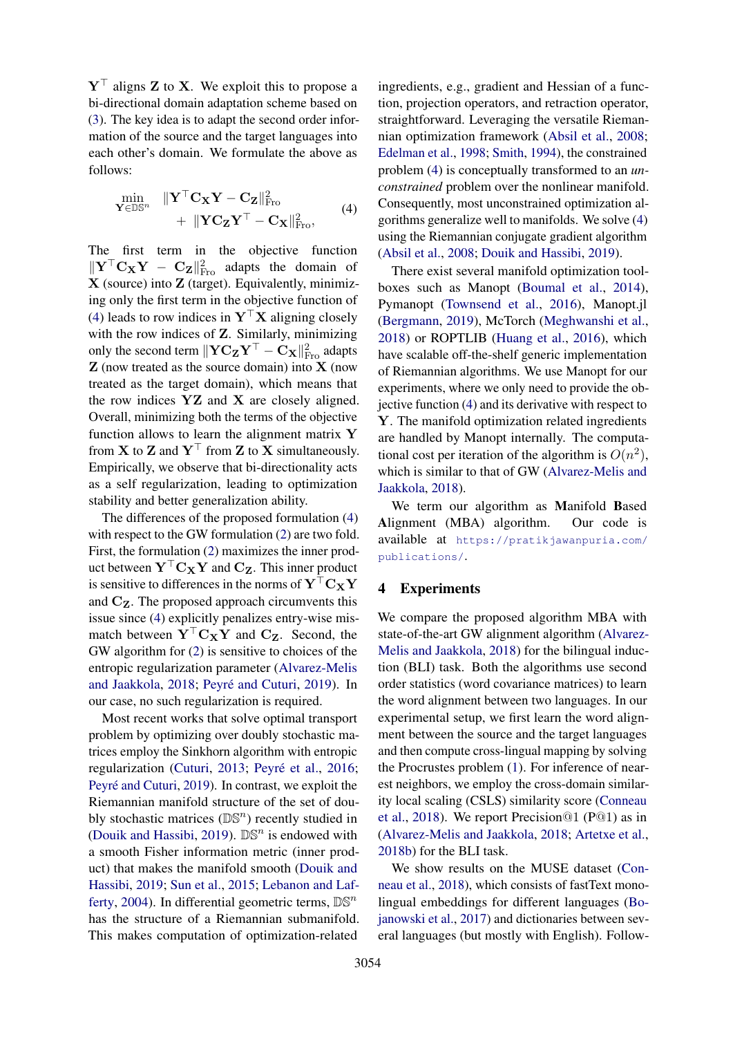$Y^{\top}$  aligns Z to X. We exploit this to propose a bi-directional domain adaptation scheme based on [\(3\)](#page-1-2). The key idea is to adapt the second order information of the source and the target languages into each other's domain. We formulate the above as follows:

<span id="page-2-0"></span>
$$
\begin{aligned}\n&\min_{\mathbf{Y} \in \mathbb{DS}^n} &\quad \|\mathbf{Y}^\top \mathbf{C}_{\mathbf{X}} \mathbf{Y} - \mathbf{C}_{\mathbf{Z}}\|_{\text{Fro}}^2 \\
&+ &\quad \|\mathbf{Y} \mathbf{C}_{\mathbf{Z}} \mathbf{Y}^\top - \mathbf{C}_{\mathbf{X}}\|_{\text{Fro}}^2,\n\end{aligned} \tag{4}
$$

The first term in the objective function  $\|\mathbf{Y}^\top \mathbf{C}_{\mathbf{X}} \mathbf{Y} - \mathbf{C}_{\mathbf{Z}}\|_{\text{Fro}}^2$  adapts the domain of  $X$  (source) into  $Z$  (target). Equivalently, minimizing only the first term in the objective function of [\(4\)](#page-2-0) leads to row indices in  $Y^{\top}X$  aligning closely with the row indices of **Z**. Similarly, minimizing only the second term  $\|\mathbf{Y}\mathbf{C}_{\mathbf{Z}}\mathbf{Y}^\top - \mathbf{C}_{\mathbf{X}}\|_{\text{Fro}}^2$  adapts  $Z$  (now treated as the source domain) into  $X$  (now treated as the target domain), which means that the row indices YZ and X are closely aligned. Overall, minimizing both the terms of the objective function allows to learn the alignment matrix Y from **X** to **Z** and  $Y^{\top}$  from **Z** to **X** simultaneously. Empirically, we observe that bi-directionality acts as a self regularization, leading to optimization stability and better generalization ability.

The differences of the proposed formulation [\(4\)](#page-2-0) with respect to the GW formulation [\(2\)](#page-1-1) are two fold. First, the formulation [\(2\)](#page-1-1) maximizes the inner product between  $Y^{\top}C_XY$  and  $C_Z$ . This inner product is sensitive to differences in the norms of  $Y<sup>T</sup>C<sub>X</sub>Y$ and  $C_{Z}$ . The proposed approach circumvents this issue since [\(4\)](#page-2-0) explicitly penalizes entry-wise mismatch between  $Y^{\top}C_XY$  and  $C_Z$ . Second, the GW algorithm for [\(2\)](#page-1-1) is sensitive to choices of the entropic regularization parameter [\(Alvarez-Melis](#page-4-6) [and Jaakkola,](#page-4-6) [2018;](#page-4-6) Peyré and Cuturi, [2019\)](#page-5-14). In our case, no such regularization is required.

Most recent works that solve optimal transport problem by optimizing over doubly stochastic matrices employ the Sinkhorn algorithm with entropic regularization [\(Cuturi,](#page-4-12) [2013;](#page-4-12) Peyré et al., [2016;](#page-5-15) Peyré and Cuturi, [2019\)](#page-5-14). In contrast, we exploit the Riemannian manifold structure of the set of doubly stochastic matrices  $(\mathbb{DS}^n)$  recently studied in [\(Douik and Hassibi,](#page-4-8) [2019\)](#page-4-8).  $DS<sup>n</sup>$  is endowed with a smooth Fisher information metric (inner product) that makes the manifold smooth [\(Douik and](#page-4-8) [Hassibi,](#page-4-8) [2019;](#page-4-8) [Sun et al.,](#page-5-19) [2015;](#page-5-19) [Lebanon and Laf](#page-5-20)[ferty,](#page-5-20) [2004\)](#page-5-20). In differential geometric terms,  $\mathbb{DS}^n$ has the structure of a Riemannian submanifold. This makes computation of optimization-related

ingredients, e.g., gradient and Hessian of a function, projection operators, and retraction operator, straightforward. Leveraging the versatile Riemannian optimization framework [\(Absil et al.,](#page-4-9) [2008;](#page-4-9) [Edelman et al.,](#page-4-10) [1998;](#page-4-10) [Smith,](#page-5-10) [1994\)](#page-5-10), the constrained problem [\(4\)](#page-2-0) is conceptually transformed to an *unconstrained* problem over the nonlinear manifold. Consequently, most unconstrained optimization algorithms generalize well to manifolds. We solve [\(4\)](#page-2-0) using the Riemannian conjugate gradient algorithm [\(Absil et al.,](#page-4-9) [2008;](#page-4-9) [Douik and Hassibi,](#page-4-8) [2019\)](#page-4-8).

There exist several manifold optimization toolboxes such as Manopt [\(Boumal et al.,](#page-4-17) [2014\)](#page-4-17), Pymanopt [\(Townsend et al.,](#page-5-21) [2016\)](#page-5-21), Manopt.jl [\(Bergmann,](#page-4-18) [2019\)](#page-4-18), McTorch [\(Meghwanshi et al.,](#page-5-22) [2018\)](#page-5-22) or ROPTLIB [\(Huang et al.,](#page-5-23) [2016\)](#page-5-23), which have scalable off-the-shelf generic implementation of Riemannian algorithms. We use Manopt for our experiments, where we only need to provide the objective function [\(4\)](#page-2-0) and its derivative with respect to Y. The manifold optimization related ingredients are handled by Manopt internally. The computational cost per iteration of the algorithm is  $O(n^2)$ , which is similar to that of GW [\(Alvarez-Melis and](#page-4-6) [Jaakkola,](#page-4-6) [2018\)](#page-4-6).

We term our algorithm as Manifold Based Alignment (MBA) algorithm. Our code is available at [https://pratikjawanpuria.com/](https://pratikjawanpuria.com/publications/) [publications/](https://pratikjawanpuria.com/publications/).

# 4 Experiments

We compare the proposed algorithm MBA with state-of-the-art GW alignment algorithm [\(Alvarez-](#page-4-6)[Melis and Jaakkola,](#page-4-6) [2018\)](#page-4-6) for the bilingual induction (BLI) task. Both the algorithms use second order statistics (word covariance matrices) to learn the word alignment between two languages. In our experimental setup, we first learn the word alignment between the source and the target languages and then compute cross-lingual mapping by solving the Procrustes problem [\(1\)](#page-1-0). For inference of nearest neighbors, we employ the cross-domain similarity local scaling (CSLS) similarity score [\(Conneau](#page-4-2) [et al.,](#page-4-2) [2018\)](#page-4-2). We report Precision@1 (P@1) as in [\(Alvarez-Melis and Jaakkola,](#page-4-6) [2018;](#page-4-6) [Artetxe et al.,](#page-4-5) [2018b\)](#page-4-5) for the BLI task.

We show results on the MUSE dataset [\(Con](#page-4-2)[neau et al.,](#page-4-2) [2018\)](#page-4-2), which consists of fastText monolingual embeddings for different languages [\(Bo](#page-4-19)[janowski et al.,](#page-4-19) [2017\)](#page-4-19) and dictionaries between several languages (but mostly with English). Follow-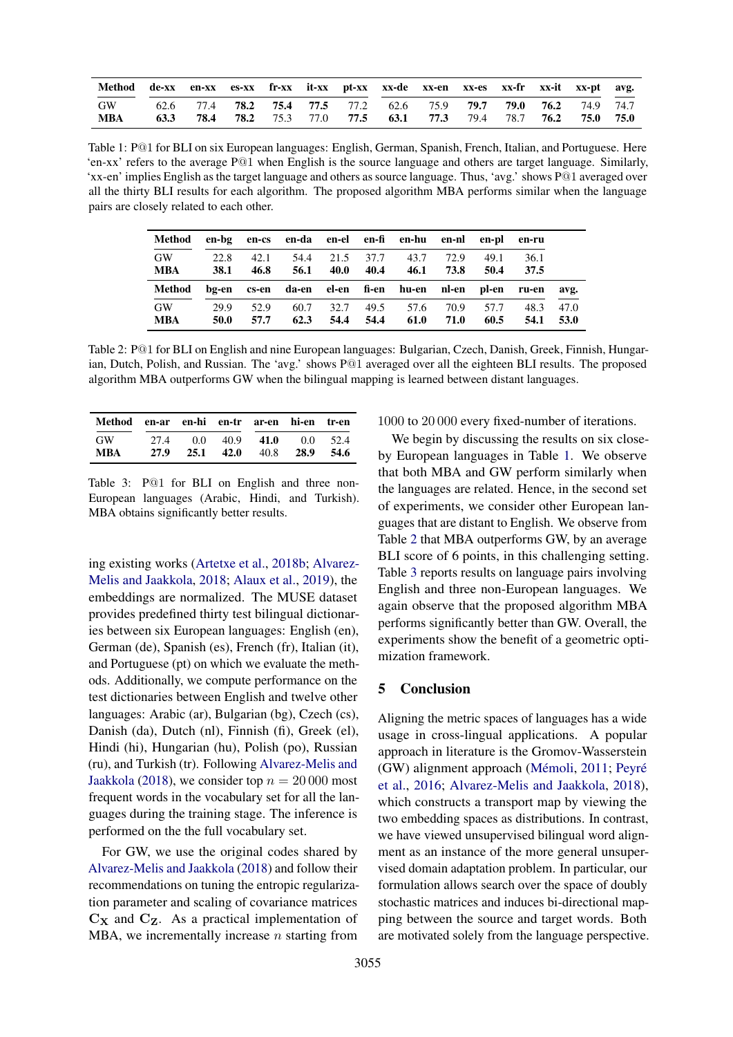<span id="page-3-0"></span>

| Method de-xx en-xx es-xx fr-xx it-xx pt-xx xx-de xx-en xx-es xx-fr xx-it xx-pt avg. |  |  |  |                                                                                |  |  |  |
|-------------------------------------------------------------------------------------|--|--|--|--------------------------------------------------------------------------------|--|--|--|
| GW                                                                                  |  |  |  | 62.6 77.4 <b>78.2 75.4 77.5</b> 77.2 62.6 75.9 <b>79.7 79.0 76.2</b> 74.9 74.7 |  |  |  |
| MBA                                                                                 |  |  |  | 63.3 78.4 78.2 75.3 77.0 77.5 63.1 77.3 79.4 78.7 76.2 75.0 75.0               |  |  |  |

Table 1: P@1 for BLI on six European languages: English, German, Spanish, French, Italian, and Portuguese. Here 'en-xx' refers to the average P@1 when English is the source language and others are target language. Similarly, 'xx-en' implies English as the target language and others as source language. Thus, 'avg.' shows P@1 averaged over all the thirty BLI results for each algorithm. The proposed algorithm MBA performs similar when the language pairs are closely related to each other.

<span id="page-3-1"></span>

| Method           |                     |              |              |              |              | en-bg en-cs en-da en-el en-fi en-hu en-nl en-pl |              |              | en-ru        |      |
|------------------|---------------------|--------------|--------------|--------------|--------------|-------------------------------------------------|--------------|--------------|--------------|------|
| GW<br><b>MBA</b> | 22.8<br><b>38.1</b> | 42.1<br>46.8 | 54.4<br>56.1 | 21.5<br>40.0 | 37.7<br>40.4 | 43.7<br>46.1                                    | 72.9<br>73.8 | 49.1<br>50.4 | 36.1<br>37.5 |      |
|                  |                     |              |              |              |              |                                                 |              |              |              |      |
| Method           |                     |              |              |              |              | bg-en cs-en da-en el-en fi-en hu-en nl-en       |              | pl-en        | ru-en        | avg. |

Table 2: P@1 for BLI on English and nine European languages: Bulgarian, Czech, Danish, Greek, Finnish, Hungarian, Dutch, Polish, and Russian. The 'avg.' shows P@1 averaged over all the eighteen BLI results. The proposed algorithm MBA outperforms GW when the bilingual mapping is learned between distant languages.

<span id="page-3-2"></span>

| Method en-ar en-hi en-tr ar-en hi-en tr-en |      |                             |      |      |       |
|--------------------------------------------|------|-----------------------------|------|------|-------|
| <b>GW</b>                                  | 27.4 | $0.0 \quad 40.9 \quad 41.0$ |      | 0.0  | 52.4  |
| <b>MBA</b>                                 | 27.9 | 25.1 42.0                   | 40.8 | 28.9 | -54.6 |

Table 3: P@1 for BLI on English and three non-European languages (Arabic, Hindi, and Turkish). MBA obtains significantly better results.

ing existing works [\(Artetxe et al.,](#page-4-5) [2018b;](#page-4-5) [Alvarez-](#page-4-6)[Melis and Jaakkola,](#page-4-6) [2018;](#page-4-6) [Alaux et al.,](#page-4-11) [2019\)](#page-4-11), the embeddings are normalized. The MUSE dataset provides predefined thirty test bilingual dictionaries between six European languages: English (en), German (de), Spanish (es), French (fr), Italian (it), and Portuguese (pt) on which we evaluate the methods. Additionally, we compute performance on the test dictionaries between English and twelve other languages: Arabic (ar), Bulgarian (bg), Czech (cs), Danish (da), Dutch (nl), Finnish (fi), Greek (el), Hindi (hi), Hungarian (hu), Polish (po), Russian (ru), and Turkish (tr). Following [Alvarez-Melis and](#page-4-6) [Jaakkola](#page-4-6) [\(2018\)](#page-4-6), we consider top  $n = 20000$  most frequent words in the vocabulary set for all the languages during the training stage. The inference is performed on the the full vocabulary set.

For GW, we use the original codes shared by [Alvarez-Melis and Jaakkola](#page-4-6) [\(2018\)](#page-4-6) and follow their recommendations on tuning the entropic regularization parameter and scaling of covariance matrices  $C_{\rm X}$  and  $C_{\rm Z}$ . As a practical implementation of MBA, we incrementally increase  $n$  starting from

1000 to 20 000 every fixed-number of iterations.

We begin by discussing the results on six closeby European languages in Table [1.](#page-3-0) We observe that both MBA and GW perform similarly when the languages are related. Hence, in the second set of experiments, we consider other European languages that are distant to English. We observe from Table [2](#page-3-1) that MBA outperforms GW, by an average BLI score of 6 points, in this challenging setting. Table [3](#page-3-2) reports results on language pairs involving English and three non-European languages. We again observe that the proposed algorithm MBA performs significantly better than GW. Overall, the experiments show the benefit of a geometric optimization framework.

## 5 Conclusion

Aligning the metric spaces of languages has a wide usage in cross-lingual applications. A popular approach in literature is the Gromov-Wasserstein (GW) alignment approach (Mémoli, [2011;](#page-5-24) Peyré [et al.,](#page-5-15) [2016;](#page-5-15) [Alvarez-Melis and Jaakkola,](#page-4-6) [2018\)](#page-4-6), which constructs a transport map by viewing the two embedding spaces as distributions. In contrast, we have viewed unsupervised bilingual word alignment as an instance of the more general unsupervised domain adaptation problem. In particular, our formulation allows search over the space of doubly stochastic matrices and induces bi-directional mapping between the source and target words. Both are motivated solely from the language perspective.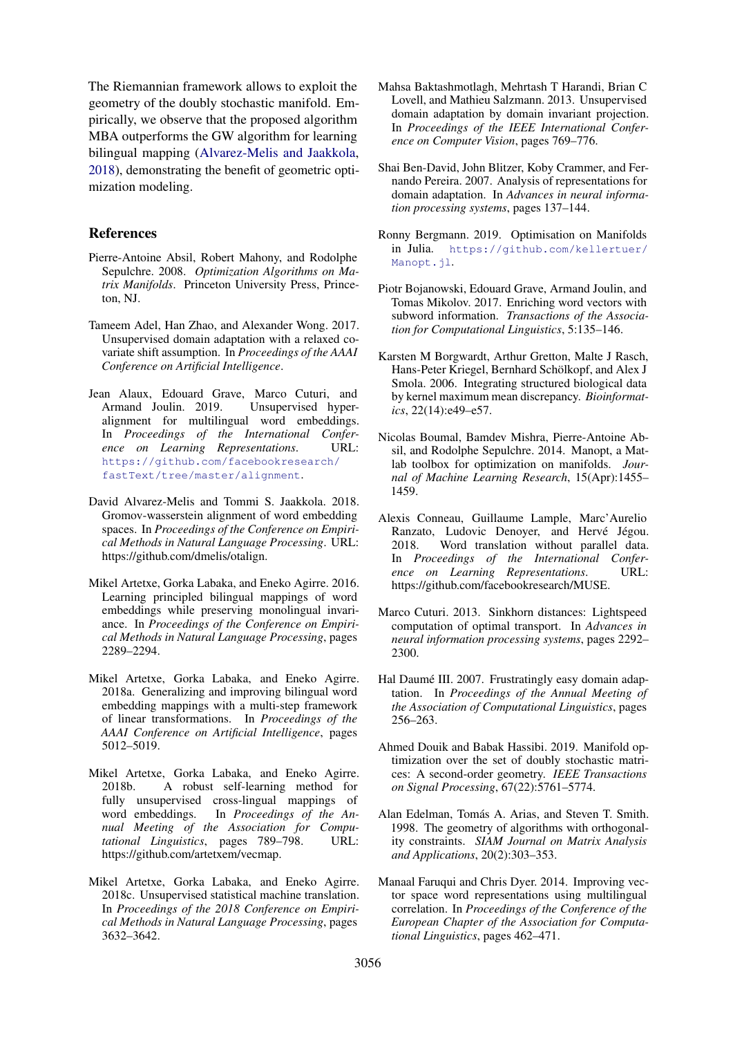The Riemannian framework allows to exploit the geometry of the doubly stochastic manifold. Empirically, we observe that the proposed algorithm MBA outperforms the GW algorithm for learning bilingual mapping [\(Alvarez-Melis and Jaakkola,](#page-4-6) [2018\)](#page-4-6), demonstrating the benefit of geometric optimization modeling.

## References

- <span id="page-4-9"></span>Pierre-Antoine Absil, Robert Mahony, and Rodolphe Sepulchre. 2008. *Optimization Algorithms on Matrix Manifolds*. Princeton University Press, Princeton, NJ.
- <span id="page-4-15"></span>Tameem Adel, Han Zhao, and Alexander Wong. 2017. Unsupervised domain adaptation with a relaxed covariate shift assumption. In *Proceedings of the AAAI Conference on Artificial Intelligence*.
- <span id="page-4-11"></span>Jean Alaux, Edouard Grave, Marco Cuturi, and Armand Joulin. 2019. Unsupervised hyperalignment for multilingual word embeddings. In *Proceedings of the International Conference on Learning Representations*. URL: [https://github.com/facebookresearch/](https://github.com/facebookresearch/fastText/tree/master/alignment) [fastText/tree/master/alignment](https://github.com/facebookresearch/fastText/tree/master/alignment).
- <span id="page-4-6"></span>David Alvarez-Melis and Tommi S. Jaakkola. 2018. Gromov-wasserstein alignment of word embedding spaces. In *Proceedings of the Conference on Empirical Methods in Natural Language Processing*. URL: https://github.com/dmelis/otalign.
- <span id="page-4-1"></span>Mikel Artetxe, Gorka Labaka, and Eneko Agirre. 2016. Learning principled bilingual mappings of word embeddings while preserving monolingual invariance. In *Proceedings of the Conference on Empirical Methods in Natural Language Processing*, pages 2289–2294.
- <span id="page-4-4"></span>Mikel Artetxe, Gorka Labaka, and Eneko Agirre. 2018a. Generalizing and improving bilingual word embedding mappings with a multi-step framework of linear transformations. In *Proceedings of the AAAI Conference on Artificial Intelligence*, pages 5012–5019.
- <span id="page-4-5"></span>Mikel Artetxe, Gorka Labaka, and Eneko Agirre. 2018b. A robust self-learning method for fully unsupervised cross-lingual mappings of word embeddings. In *Proceedings of the Annual Meeting of the Association for Computational Linguistics*, pages 789–798. URL: https://github.com/artetxem/vecmap.
- <span id="page-4-3"></span>Mikel Artetxe, Gorka Labaka, and Eneko Agirre. 2018c. Unsupervised statistical machine translation. In *Proceedings of the 2018 Conference on Empirical Methods in Natural Language Processing*, pages 3632–3642.
- <span id="page-4-16"></span>Mahsa Baktashmotlagh, Mehrtash T Harandi, Brian C Lovell, and Mathieu Salzmann. 2013. Unsupervised domain adaptation by domain invariant projection. In *Proceedings of the IEEE International Conference on Computer Vision*, pages 769–776.
- <span id="page-4-7"></span>Shai Ben-David, John Blitzer, Koby Crammer, and Fernando Pereira. 2007. Analysis of representations for domain adaptation. In *Advances in neural information processing systems*, pages 137–144.
- <span id="page-4-18"></span>Ronny Bergmann. 2019. Optimisation on Manifolds in Julia. [https://github.com/kellertuer/](https://github.com/kellertuer/Manopt.jl) [Manopt.jl](https://github.com/kellertuer/Manopt.jl).
- <span id="page-4-19"></span>Piotr Bojanowski, Edouard Grave, Armand Joulin, and Tomas Mikolov. 2017. Enriching word vectors with subword information. *Transactions of the Association for Computational Linguistics*, 5:135–146.
- <span id="page-4-14"></span>Karsten M Borgwardt, Arthur Gretton, Malte J Rasch, Hans-Peter Kriegel, Bernhard Schölkopf, and Alex J Smola. 2006. Integrating structured biological data by kernel maximum mean discrepancy. *Bioinformatics*, 22(14):e49–e57.
- <span id="page-4-17"></span>Nicolas Boumal, Bamdev Mishra, Pierre-Antoine Absil, and Rodolphe Sepulchre. 2014. Manopt, a Matlab toolbox for optimization on manifolds. *Journal of Machine Learning Research*, 15(Apr):1455– 1459.
- <span id="page-4-2"></span>Alexis Conneau, Guillaume Lample, Marc'Aurelio Ranzato, Ludovic Denoyer, and Hervé Jégou. 2018. Word translation without parallel data. In *Proceedings of the International Conference on Learning Representations*. URL: https://github.com/facebookresearch/MUSE.
- <span id="page-4-12"></span>Marco Cuturi. 2013. Sinkhorn distances: Lightspeed computation of optimal transport. In *Advances in neural information processing systems*, pages 2292– 2300.
- <span id="page-4-13"></span>Hal Daumé III. 2007. Frustratingly easy domain adaptation. In *Proceedings of the Annual Meeting of the Association of Computational Linguistics*, pages 256–263.
- <span id="page-4-8"></span>Ahmed Douik and Babak Hassibi. 2019. Manifold optimization over the set of doubly stochastic matrices: A second-order geometry. *IEEE Transactions on Signal Processing*, 67(22):5761–5774.
- <span id="page-4-10"></span>Alan Edelman, Tomás A. Arias, and Steven T. Smith. 1998. The geometry of algorithms with orthogonality constraints. *SIAM Journal on Matrix Analysis and Applications*, 20(2):303–353.
- <span id="page-4-0"></span>Manaal Faruqui and Chris Dyer. 2014. Improving vector space word representations using multilingual correlation. In *Proceedings of the Conference of the European Chapter of the Association for Computational Linguistics*, pages 462–471.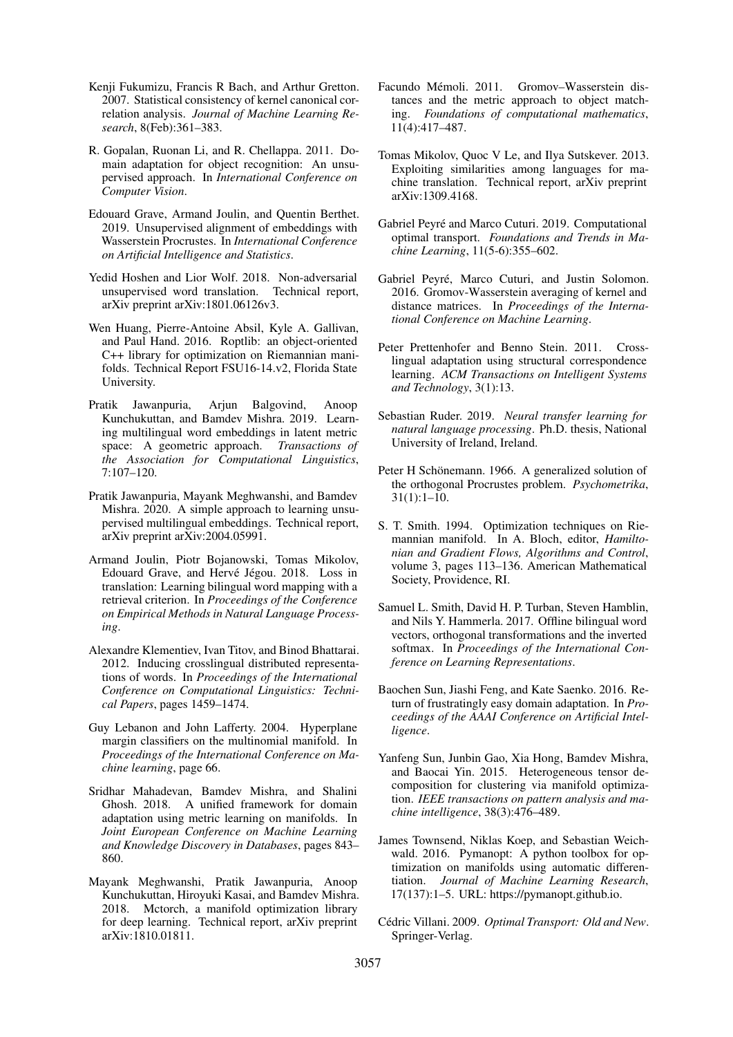- <span id="page-5-16"></span>Kenii Fukumizu, Francis R Bach, and Arthur Gretton. 2007. Statistical consistency of kernel canonical correlation analysis. *Journal of Machine Learning Research*, 8(Feb):361–383.
- <span id="page-5-7"></span>R. Gopalan, Ruonan Li, and R. Chellappa. 2011. Domain adaptation for object recognition: An unsupervised approach. In *International Conference on Computer Vision*.
- <span id="page-5-5"></span>Edouard Grave, Armand Joulin, and Quentin Berthet. 2019. Unsupervised alignment of embeddings with Wasserstein Procrustes. In *International Conference on Artificial Intelligence and Statistics*.
- <span id="page-5-4"></span>Yedid Hoshen and Lior Wolf. 2018. Non-adversarial unsupervised word translation. Technical report, arXiv preprint arXiv:1801.06126v3.
- <span id="page-5-23"></span>Wen Huang, Pierre-Antoine Absil, Kyle A. Gallivan, and Paul Hand. 2016. Roptlib: an object-oriented C++ library for optimization on Riemannian manifolds. Technical Report FSU16-14.v2, Florida State University.
- <span id="page-5-3"></span>Pratik Jawanpuria, Arjun Balgovind, Anoop Kunchukuttan, and Bamdev Mishra. 2019. Learning multilingual word embeddings in latent metric space: A geometric approach. *Transactions of the Association for Computational Linguistics*, 7:107–120.
- <span id="page-5-6"></span>Pratik Jawanpuria, Mayank Meghwanshi, and Bamdev Mishra. 2020. A simple approach to learning unsupervised multilingual embeddings. Technical report, arXiv preprint arXiv:2004.05991.
- <span id="page-5-2"></span>Armand Joulin, Piotr Bojanowski, Tomas Mikolov, Edouard Grave, and Hervé Jégou. 2018. Loss in translation: Learning bilingual word mapping with a retrieval criterion. In *Proceedings of the Conference on Empirical Methods in Natural Language Processing*.
- <span id="page-5-1"></span>Alexandre Klementiev, Ivan Titov, and Binod Bhattarai. 2012. Inducing crosslingual distributed representations of words. In *Proceedings of the International Conference on Computational Linguistics: Technical Papers*, pages 1459–1474.
- <span id="page-5-20"></span>Guy Lebanon and John Lafferty. 2004. Hyperplane margin classifiers on the multinomial manifold. In *Proceedings of the International Conference on Machine learning*, page 66.
- <span id="page-5-9"></span>Sridhar Mahadevan, Bamdev Mishra, and Shalini Ghosh. 2018. A unified framework for domain adaptation using metric learning on manifolds. In *Joint European Conference on Machine Learning and Knowledge Discovery in Databases*, pages 843– 860.
- <span id="page-5-22"></span>Mayank Meghwanshi, Pratik Jawanpuria, Anoop Kunchukuttan, Hiroyuki Kasai, and Bamdev Mishra. 2018. Mctorch, a manifold optimization library for deep learning. Technical report, arXiv preprint arXiv:1810.01811.
- <span id="page-5-24"></span>Facundo Mémoli. 2011. Gromov–Wasserstein distances and the metric approach to object matching. *Foundations of computational mathematics*, 11(4):417–487.
- <span id="page-5-0"></span>Tomas Mikolov, Quoc V Le, and Ilya Sutskever. 2013. Exploiting similarities among languages for machine translation. Technical report, arXiv preprint arXiv:1309.4168.
- <span id="page-5-14"></span>Gabriel Peyré and Marco Cuturi. 2019. Computational optimal transport. *Foundations and Trends in Machine Learning*, 11(5-6):355–602.
- <span id="page-5-15"></span>Gabriel Peyré, Marco Cuturi, and Justin Solomon. 2016. Gromov-Wasserstein averaging of kernel and distance matrices. In *Proceedings of the International Conference on Machine Learning*.
- <span id="page-5-17"></span>Peter Prettenhofer and Benno Stein. 2011. Crosslingual adaptation using structural correspondence learning. *ACM Transactions on Intelligent Systems and Technology*, 3(1):13.
- <span id="page-5-18"></span>Sebastian Ruder. 2019. *Neural transfer learning for natural language processing*. Ph.D. thesis, National University of Ireland, Ireland.
- <span id="page-5-12"></span>Peter H Schönemann. 1966. A generalized solution of the orthogonal Procrustes problem. *Psychometrika*, 31(1):1–10.
- <span id="page-5-10"></span>S. T. Smith. 1994. Optimization techniques on Riemannian manifold. In A. Bloch, editor, *Hamiltonian and Gradient Flows, Algorithms and Control*, volume 3, pages 113–136. American Mathematical Society, Providence, RI.
- <span id="page-5-11"></span>Samuel L. Smith, David H. P. Turban, Steven Hamblin, and Nils Y. Hammerla. 2017. Offline bilingual word vectors, orthogonal transformations and the inverted softmax. In *Proceedings of the International Conference on Learning Representations*.
- <span id="page-5-8"></span>Baochen Sun, Jiashi Feng, and Kate Saenko. 2016. Return of frustratingly easy domain adaptation. In *Proceedings of the AAAI Conference on Artificial Intelligence*.
- <span id="page-5-19"></span>Yanfeng Sun, Junbin Gao, Xia Hong, Bamdev Mishra, and Baocai Yin. 2015. Heterogeneous tensor decomposition for clustering via manifold optimization. *IEEE transactions on pattern analysis and machine intelligence*, 38(3):476–489.
- <span id="page-5-21"></span>James Townsend, Niklas Koep, and Sebastian Weichwald. 2016. Pymanopt: A python toolbox for optimization on manifolds using automatic differentiation. *Journal of Machine Learning Research*, 17(137):1–5. URL: https://pymanopt.github.io.
- <span id="page-5-13"></span>Cédric Villani. 2009. Optimal Transport: Old and New. Springer-Verlag.